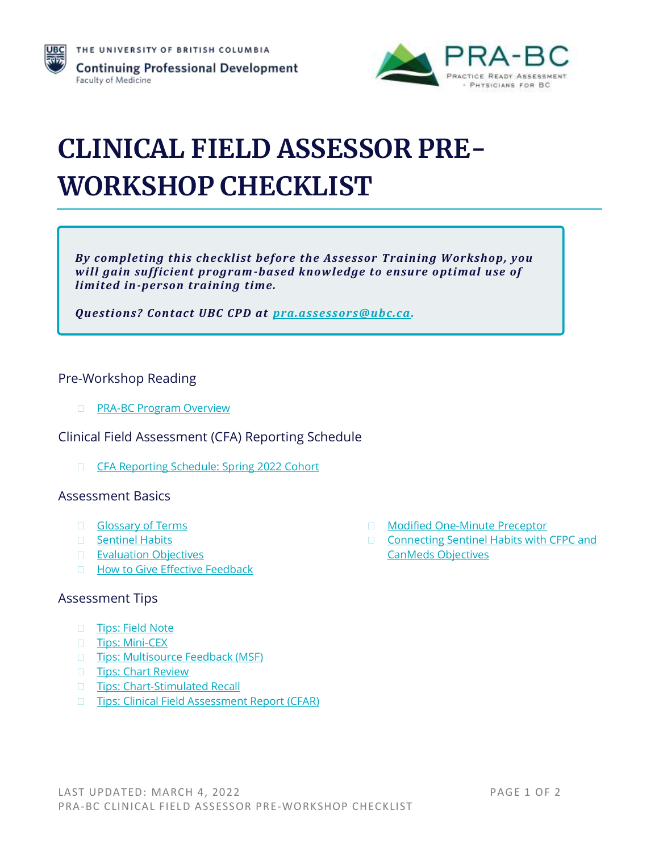



# **CLINICAL FIELD ASSESSOR PRE-WORKSHOP CHECKLIST**

*By completing this checklist before the Assessor Training Workshop, you will gain sufficient program-based knowledge to ensure o ptimal use of limited in-person training time.*

*Questions? Contact UBC CPD at [pra.assessors@ubc.ca.](mailto:pra.assessors@ubc.ca)*

### Pre-Workshop Reading

**D** [PRA-BC Program Overview](http://www.prabc.ca/)

Clinical Field Assessment (CFA) Reporting Schedule

[CFA Reporting Schedule: Spring](https://ubccpd.ca/sites/default/files/documents/CFA%20Reporting%20Schedule%20-%20Spring%202022%202mar22.pdf) 2022 Cohort

## Assessment Basics

- Glossary of Terms
- □ [Sentinel Habits](https://ubccpd.ca/sites/default/files/documents/PRA-BC--Sentinel-Habits.pdf)
- **[Evaluation Objectives](http://www.cfpc.ca/EvaluationObjectives/)**
- □ [How to Give Effective Feedback](https://ubccpd.ca/sites/default/files/documents/PRA-BC--How-to-Give-Effective-Feedback.pdf)

#### Assessment Tips

- □ [Tips: Field Note](https://ubccpd.ca/sites/ubccpd.ca/files/Field-Note-Tips-S2017.pdf)
- □ [Tips: Mini-CEX](https://ubccpd.ca/sites/ubccpd.ca/files/Mini-Clinical-Evaluation-Exercise-Tips-S2017.pdf)
- □ Tips: Multisource Feedback (MSF)
- **[Tips: Chart Review](https://ubccpd.ca/sites/ubccpd.ca/files/Chart-Review-Tips-S2017.pdf)**
- □ [Tips: Chart-Stimulated Recall](https://ubccpd.ca/sites/ubccpd.ca/files/Chart-Simulated-Recall-Tips-S2017.pdf)
- □ [Tips: Clinical Field Assessment Report \(CFAR\)](https://ubccpd.ca/sites/ubccpd.ca/files/Clinical-Field-Assessment-Report-Tips-S2017.pdf)
- □ [Modified One-Minute Preceptor](https://ubccpd.ca/sites/default/files/documents/PRA-BC--Modified-One-Minute-Preceptor.pdf)
- □ Connecting Sentinel Habits with CFPC and [CanMeds Objectives](https://ubccpd.ca/sites/default/files/documents/PRA-BC--Connecting-Sentinel-Habits-with-CFPC-%26-CanMeds-Objectives.pdf)